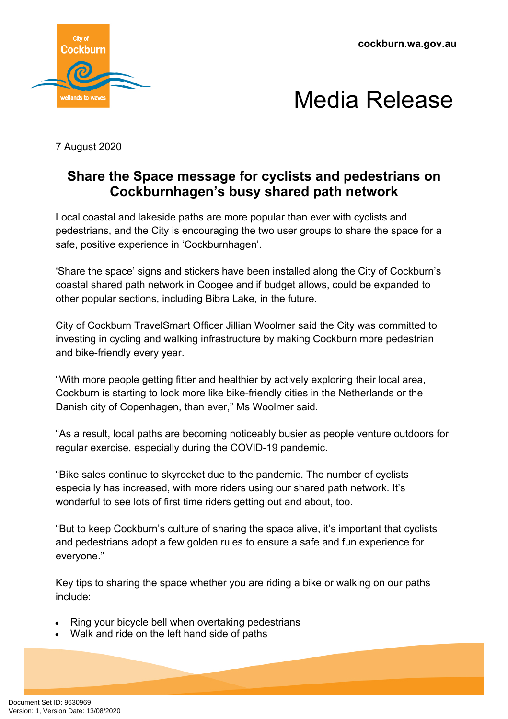



7 August 2020

## **Share the Space message for cyclists and pedestrians on Cockburnhagen's busy shared path network**

 Local coastal and lakeside paths are more popular than ever with cyclists and pedestrians, and the City is encouraging the two user groups to share the space for a safe, positive experience in 'Cockburnhagen'.

'Share the space' signs and stickers have been installed along the City of Cockburn's coastal shared path network in Coogee and if budget allows, could be expanded to other popular sections, including Bibra Lake, in the future.

City of Cockburn TravelSmart Officer Jillian Woolmer said the City was committed to investing in cycling and walking infrastructure by making Cockburn more pedestrian and bike-friendly every year.

"With more people getting fitter and healthier by actively exploring their local area, Cockburn is starting to look more like bike-friendly cities in the Netherlands or the Danish city of Copenhagen, than ever," Ms Woolmer said.

"As a result, local paths are becoming noticeably busier as people venture outdoors for regular exercise, especially during the COVID-19 pandemic.

"Bike sales continue to skyrocket due to the pandemic. The number of cyclists especially has increased, with more riders using our shared path network. It's wonderful to see lots of first time riders getting out and about, too.

"But to keep Cockburn's culture of sharing the space alive, it's important that cyclists and pedestrians adopt a few golden rules to ensure a safe and fun experience for everyone."

Key tips to sharing the space whether you are riding a bike or walking on our paths include:

- Ring your bicycle bell when overtaking pedestrians
- Walk and ride on the left hand side of paths